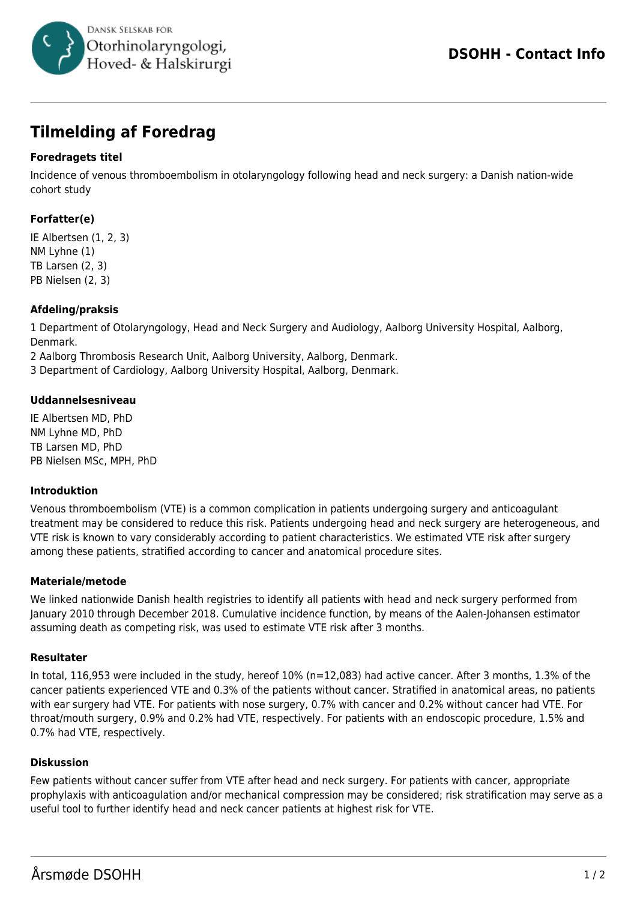

# **Tilmelding af Foredrag**

## **Foredragets titel**

Incidence of venous thromboembolism in otolaryngology following head and neck surgery: a Danish nation-wide cohort study

## **Forfatter(e)**

IE Albertsen (1, 2, 3) NM Lyhne (1) TB Larsen (2, 3) PB Nielsen (2, 3)

#### **Afdeling/praksis**

1 Department of Otolaryngology, Head and Neck Surgery and Audiology, Aalborg University Hospital, Aalborg, Denmark.

2 Aalborg Thrombosis Research Unit, Aalborg University, Aalborg, Denmark.

3 Department of Cardiology, Aalborg University Hospital, Aalborg, Denmark.

#### **Uddannelsesniveau**

IE Albertsen MD, PhD NM Lyhne MD, PhD TB Larsen MD, PhD PB Nielsen MSc, MPH, PhD

#### **Introduktion**

Venous thromboembolism (VTE) is a common complication in patients undergoing surgery and anticoagulant treatment may be considered to reduce this risk. Patients undergoing head and neck surgery are heterogeneous, and VTE risk is known to vary considerably according to patient characteristics. We estimated VTE risk after surgery among these patients, stratified according to cancer and anatomical procedure sites.

#### **Materiale/metode**

We linked nationwide Danish health registries to identify all patients with head and neck surgery performed from January 2010 through December 2018. Cumulative incidence function, by means of the Aalen-Johansen estimator assuming death as competing risk, was used to estimate VTE risk after 3 months.

#### **Resultater**

In total, 116,953 were included in the study, hereof 10% (n=12,083) had active cancer. After 3 months, 1.3% of the cancer patients experienced VTE and 0.3% of the patients without cancer. Stratified in anatomical areas, no patients with ear surgery had VTE. For patients with nose surgery, 0.7% with cancer and 0.2% without cancer had VTE. For throat/mouth surgery, 0.9% and 0.2% had VTE, respectively. For patients with an endoscopic procedure, 1.5% and 0.7% had VTE, respectively.

#### **Diskussion**

Few patients without cancer suffer from VTE after head and neck surgery. For patients with cancer, appropriate prophylaxis with anticoagulation and/or mechanical compression may be considered; risk stratification may serve as a useful tool to further identify head and neck cancer patients at highest risk for VTE.